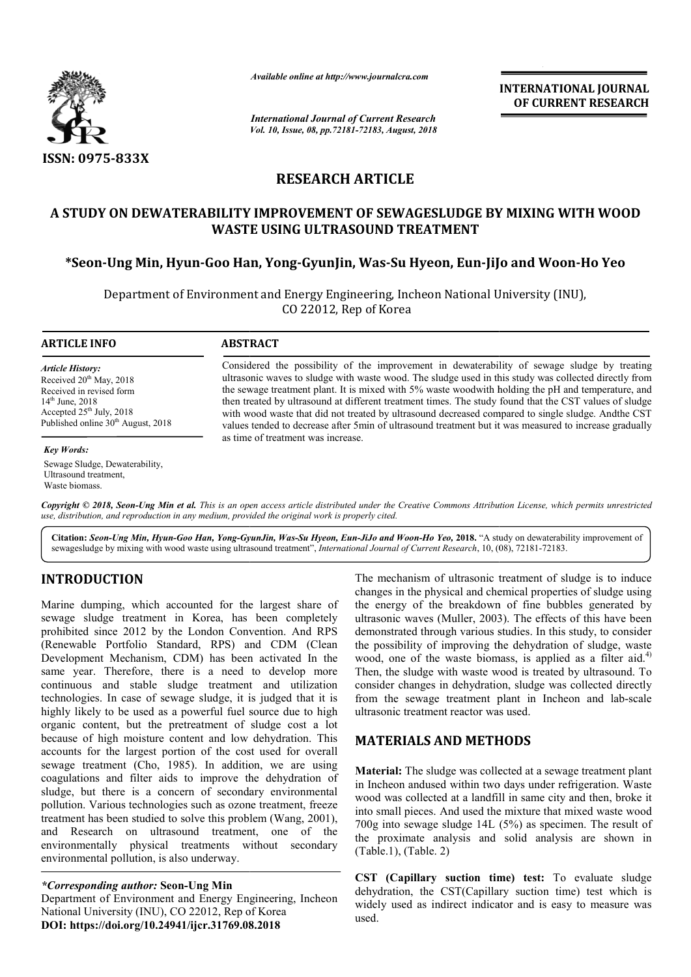

*Available online at http://www.journalcra.com*

*International Journal of Current Research Vol. 10, Issue, 08, pp.72181-72183, August, 2018* **INTERNATIONAL JOURNAL OF CURRENT RESEARCH**

## **RESEARCH ARTICLE**

# **A STUDY ON DEWATERABILITY IMPROVEMENT OF SEWAGESLUDGE BY MIXING WITH WOOD WASTE USING ULTRASOUND TREATMENT \*Seon-Ung Min, Hyun-Goo Han, Yong Goo Yong-GyunJin, Was-Su Hyeon, Eun-JiJo OF SEWAGESLUDGE Jo and Woon-Ho Yeo**

Department of Environment and Energy Engineering, Incheon National University (INU), Incheon National University CO 22012, Rep of Korea

#### **ARTICLE INFO ABSTRACT** Considered the possibility of the improvement in dewaterability of sewage sludge by treating ultrasonic waves to sludge with waste wood. The sludge used in this study was collected directly from the sewage treatment plant. It is mixed with 5% waste woodwith holding the pH and temperature, and then treated by ultrasound at different treatment times. The study found that the CST values of sludge with wood waste that did not treated by ultrasound decreased compared to single sludge. Andthe CST values tended to decrease after 5min of ultrasound treatment but it was measured to increase gradually as time of treatment was increase. *Article History:* Received 20<sup>th</sup> May, 2018 Received in revised form 14th June, 2018 Accepted 25<sup>th</sup> July, 2018 Published online 30<sup>th</sup> August, 2018 *Key Words:* Sewage Sludge, Dewaterability, Considered the possibility of the improvement in dewaterability of sewage sludge by trea ultrasonic waves to sludge with waste wood. The sludge used in this study was collected directly f<br>the sewage treatment plant. It is

Copyright © 2018, Seon-Ung Min et al. This is an open access article distributed under the Creative Commons Attribution License, which permits unrestrictea *use, distribution, and reproduction in any medium, provided the original work is properly cited.*

Citation: Seon-Ung Min, Hyun-Goo Han, Yong-GyunJin, Was-Su Hyeon, Eun-JiJo and Woon-Ho Yeo, 2018. "A study on dewaterability improvement of<br>sewagesludge by mixing with wood waste using ultrasound treatment", *International* sewagesludge by mixing with wood waste using ultrasound treatment", *International Journal of Current Research*, 10, (08

## **INTRODUCTION**

Ultrasound treatment, Waste biomass.

Marine dumping, which accounted for the largest share of sewage sludge treatment in Korea, has been completely prohibited since 2012 by the London Convention. And RPS (Renewable Portfolio Standard, RPS) and CDM (Clean Development Mechanism, CDM) has been activated In the same year. Therefore, there is a need to develop more continuous and stable sludge treatment and utilization technologies. In case of sewage sludge, it is judged that it is highly likely to be used as a powerful fuel source due to high organic content, but the pretreatment of sludge cost a lot because of high moisture content and low dehydration. This accounts for the largest portion of the cost used for overall sewage treatment (Cho, 1985). In addition, we are using coagulations and filter aids to improve the dehydration of sludge, but there is a concern of secondary environmental pollution. Various technologies such as ozone treatment, freeze treatment has been studied to solve this problem (Wang, 2001), and Research on ultrasound treatment, one of the environmentally physical treatments without secondary environmental pollution, is also underway. ent and low dehydration. This<br>in of the cost used for overall<br>j). In addition, we are using<br>o improve the dehydration of<br>in of secondary environmental

Department of Environment and Energy Engineering, Incheon National University (INU), CO 22012, Rep of Korea **DOI: https://doi.org/10.24941/ijcr.31769.08.2018**

The mechanism of ultrasonic treatment of sludge is to induce<br>coanges in the physical and chemical properties of sludge using<br>the beneficial momentation of the breakdown of fine bubbles generated by<br>ultrasonic waves (Multer changes in the physical and chemical properties of sludge using the energy of the breakdown of fine bubbles generated by ultrasonic waves (Muller, 2003). The effects of this have been demonstrated through various studies. In this study, to consider the possibility of improving the dehydration of sludge, waste the possibility of improving the dehydration of sludge, waste wood, one of the waste biomass, is applied as a filter aid.<sup>4)</sup> Then, the sludge with waste wood is treated by ultrasound. To Then, the sludge with waste wood is treated by ultrasound. To consider changes in dehydration, sludge was collected directly from the sewage treatment plant in Incheon and lab lab-scale ultrasonic treatment reactor was used. ges in the physical and chemical properties of sludge using<br>energy of the breakdown of fine bubbles generated by<br>sonic waves (Muller, 2003). The effects of this have been INTERNATIONAL JOURNAL<br>
OF CURRENT RESEARCH<br>
OF CURRENT RESEARCH<br>
The such as the such as the such as the such as the such as the such as the such as the such as the such as the such as the such as the such as the such as t

## **MATERIALS AND METHODS METHODS**

**Material:** The sludge was collected at a sewage treatment plant in Incheon andused within two days under refrigeration. Waste wood was collected at a landfill in same city and then, broke it into small pieces. And used the mixture that mixed waste wood 700g into sewage sludge 14L (5%) as specimen. The result of the proximate analysis and solid analysis are shown in (Table.1), (Table. 2) aterial: The sludge was collected at a sewage treatment plant<br>Incheon andused within two days under refrigeration. Waste<br>ood was collected at a landfill in same city and then, broke it<br>o small pieces. And used the mixture

**CST (Capillary suction time) test time) test:** To evaluate sludge dehydration, the CST(Capillary suction time) test which is widely used as indirect indicator and is easy to measure was used.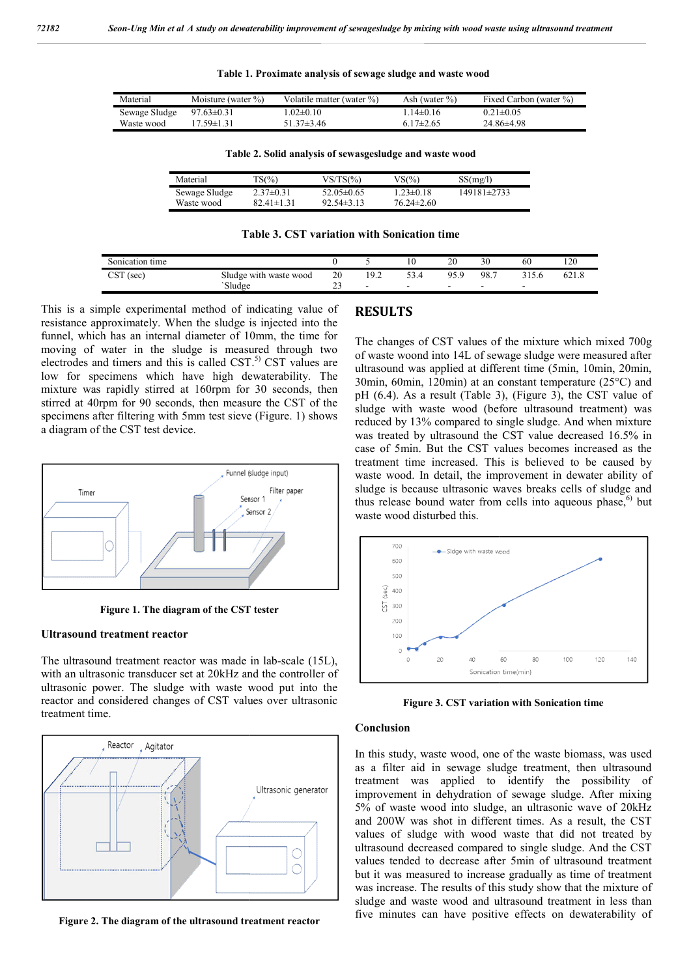**Table 1. Proximate analysis of sewage sludge and waste wood**

| Material      | Moisture (water $\%$ ) | Volatile matter (water %) | Ash (water $\%$ ) | Fixed Carbon (water %) |
|---------------|------------------------|---------------------------|-------------------|------------------------|
| Sewage Sludge | $97.63 \pm 0.31$       | 02 $\pm$ 0.10             | $14\pm 0.16$      | $0.21 \pm 0.05$        |
| Waste wood    | 17 59±1 31             | 51 37 $\pm$ 3 46          | $6.17\pm2.65$     | $24.86\pm4.98$         |

**Table 2. Solid analysis of sewasgesludge and waste wood**

| Material      | ΓS(%)            | $VS/TS(\%)$      | VS(%)            | SS(mg/l)        |
|---------------|------------------|------------------|------------------|-----------------|
| Sewage Sludge | $2.37\pm0.31$    | 52.05 $\pm$ 0.65 | $1.23 \pm 0.18$  | $149181\pm2733$ |
| Waste wood    | $82.41 \pm 1.31$ | $92.54\pm3.13$   | $76.24 \pm 2.60$ |                 |

**Table 3. CST variation with Sonication time**

| Sonication time                |                        |              |                          |                          | $\mathcal{D}$<br>∠∪      | 30  | 60 | 120<br>14 U |
|--------------------------------|------------------------|--------------|--------------------------|--------------------------|--------------------------|-----|----|-------------|
| $\cap$ $\Gamma$<br>(sec<br>∟ບ⊥ | Sludge with waste wood | 20           | 102<br>ــ                | ⊣<br>.                   | 95.9                     | 98. |    | 621.8       |
|                                | `Sludge                | $\sim$<br>رے | $\overline{\phantom{0}}$ | $\overline{\phantom{0}}$ | $\overline{\phantom{0}}$ |     |    |             |

This is a simple experimental method of indicating value of resistance approximately. When the sludge is injected into the funnel, which has an internal diameter of 10mm, the time for moving of water in the sludge is measured through two electrodes and timers and this is called  $\text{CST}$ .<sup>5)</sup> CST values are low for specimens which have high dewaterability. The mixture was rapidly stirred at 160rpm for 30 seconds, then stirred at 40rpm for 90 seconds, then measure the CST of the specimens after filtering with 5mm test sieve (Figure. 1) shows a diagram of the CST test device.



**Figure 1. The diagram of the CST tester**

#### **Ultrasound treatment reactor**

The ultrasound treatment reactor was made in lab lab-scale (15L), with an ultrasonic transducer set at 20kHz and the controller of ultrasonic power. The sludge with waste wood put into the reactor and considered changes of CST values over ultrasonic treatment time.



**Figure 2. The diagram of the ultrasound treatment reactor**

The changes of CST values of the mixture which mixed 700g of waste woond into 14L of sewage sludge were measured after The changes of CST values of the mixture which mixed 700g of waste woond into 14L of sewage sludge were measured after ultrasound was applied at different time (5min, 10min, 20min, 30 $\min$ , 60 $\min$ , 120 $\min$ ) at an constant temperature (25 $\textdegree$ C) and pH  $(6.4)$ . As a result (Table 3), (Figure 3), the CST value of sludge with waste wood (before ultrasound treatment) was sludge with waste wood (before ultrasound treatment) was reduced by 13% compared to single sludge. And when mixture was treated by ultrasound the CST value decreased 16.5% in case of 5min. But the CST values becomes increased as the treatment time increased. This is believed to be caused by waste wood. In detail, the improvement in dewater ability of sludge is because ultrasonic waves breaks cells of sludge and thus release bound water from cells into aqueous phase,<sup>6)</sup> but waste wood disturbed this. treated by ultrasound the CST value decreased 16.5% in of 5min. But the CST values becomes increased as the ment time increased. This is believed to be caused by e wood. In detail, the improvement in dewater ability of ge In two<br>terms (So Find Carbon (water %)<br>  $14\div 6$ ) Example (Carbon (water %)<br>  $17\div 2.65$  24.864498<br>
And waste wood<br>  $\frac{20}{34}$   $\frac{149181\div 2733}{149181\div 2733}$ <br>
and waste wood<br>  $\frac{20}{34}$   $\frac{3859}{98.7}$   $\frac{3156}{3156}$ 



**Figure 3. CST variation with Sonication time** 

### **Conclusion**

In this study, waste wood, one of the waste biomass, was used as a filter aid in sewage sludge treatment, then ultrasound treatment was applied to identify the possibility of improvement in dehydration of sewage sludge. After mixing 5% of waste wood into sludge, an ultrasonic wave of 20 kHz and 200W was shot in different times. As a result, the CST values of sludge with wood waste that did not treated by ultrasound decreased compared to single sludge. And the CST values tended to decrease after 5min of ultrasound treatment but it was measured to increase gradually as time of treatment was increase. The results of this study show that the mixture of sludge and waste wood and ultrasound treatment in less than five minutes can have positive effects on dewaterability of this study, waste wood, one of the waste biomass, was used<br>a filter aid in sewage sludge treatment, then ultrasound<br>atment was applied to identify the possibility of<br>provement in dehydration of sewage sludge. After mixing<br> was shot in different times. As a result, the CST sludge with wood waste that did not treated by decreased compared to single sludge. And the CST ded to decrease after 5min of ultrasound treatment measured to increase grad